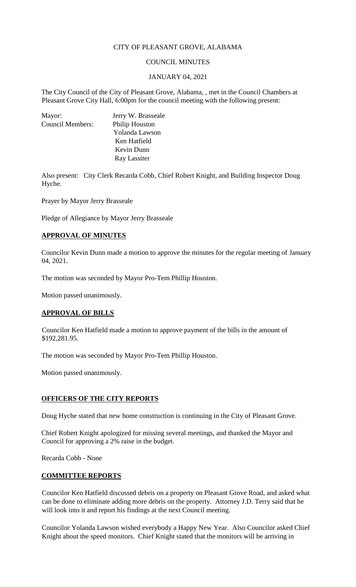# CITY OF PLEASANT GROVE, ALABAMA

## COUNCIL MINUTES

#### JANUARY 04, 2021

The City Council of the City of Pleasant Grove, Alabama, , met in the Council Chambers at Pleasant Grove City Hall, 6:00pm for the council meeting with the following present:

| Mayor:                  | Jerry W. Brasseale    |
|-------------------------|-----------------------|
| <b>Council Members:</b> | <b>Philip Houston</b> |
|                         | Yolanda Lawson        |
|                         | Ken Hatfield          |
|                         | Kevin Dunn            |
|                         | Ray Lassiter          |

Also present: City Clerk Recarda Cobb, Chief Robert Knight, and Building Inspector Doug Hyche.

Prayer by Mayor Jerry Brasseale

Pledge of Allegiance by Mayor Jerry Brasseale

## **APPROVAL OF MINUTES**

Councilor Kevin Dunn made a motion to approve the minutes for the regular meeting of January 04, 2021.

The motion was seconded by Mayor Pro-Tem Phillip Houston.

Motion passed unanimously.

### **APPROVAL OF BILLS**

Councilor Ken Hatfield made a motion to approve payment of the bills in the amount of \$192,281.95.

The motion was seconded by Mayor Pro-Tem Phillip Houston.

Motion passed unanimously.

### **OFFICERS OF THE CITY REPORTS**

Doug Hyche stated that new home construction is continuing in the City of Pleasant Grove.

Chief Robert Knight apologized for missing several meetings, and thanked the Mayor and Council for approving a 2% raise in the budget.

Recarda Cobb - None

#### **COMMITTEE REPORTS**

Councilor Ken Hatfield discussed debris on a property on Pleasant Grove Road, and asked what can be done to eliminate adding more debris on the property. Attorney J.D. Terry said that he will look into it and report his findings at the next Council meeting.

Councilor Yolanda Lawson wished everybody a Happy New Year. Also Councilor asked Chief Knight about the speed monitors. Chief Knight stated that the monitors will be arriving in